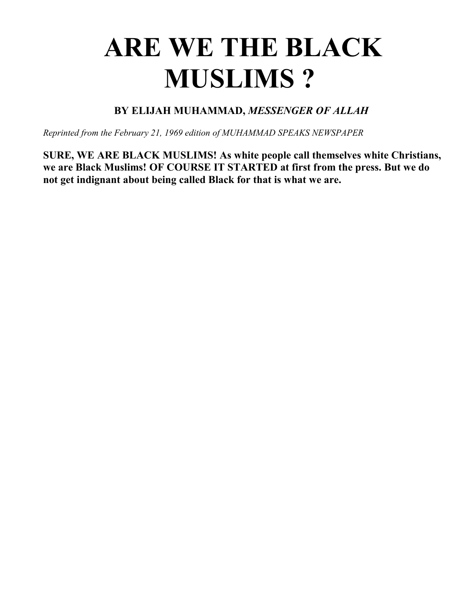## **ARE WE THE BLACK MUSLIMS ?**

**BY ELIJAH MUHAMMAD,** *MESSENGER OF ALLAH* 

*Reprinted from the February 21, 1969 edition of MUHAMMAD SPEAKS NEWSPAPER*

**SURE, WE ARE BLACK MUSLIMS! As white people call themselves white Christians, we are Black Muslims! OF COURSE IT STARTED at first from the press. But we do not get indignant about being called Black for that is what we are.**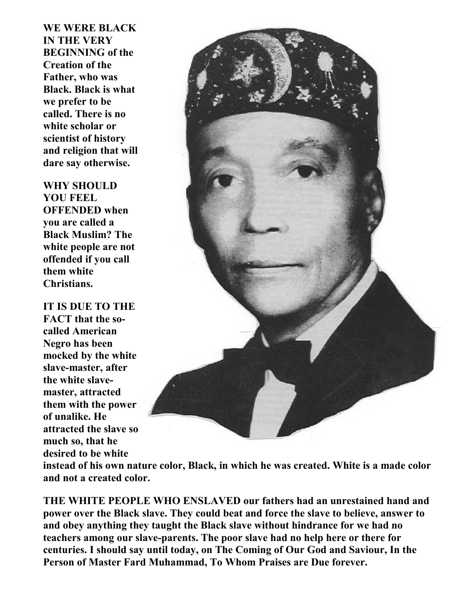**WE WERE BLACK IN THE VERY BEGINNING of the Creation of the Father, who was Black. Black is what we prefer to be called. There is no white scholar or scientist of history and religion that will dare say otherwise.** 

**WHY SHOULD YOU FEEL OFFENDED when you are called a Black Muslim? The white people are not offended if you call them white Christians.** 

**IT IS DUE TO THE FACT that the socalled American Negro has been mocked by the white slave-master, after the white slavemaster, attracted them with the power of unalike. He attracted the slave so much so, that he desired to be white**



**instead of his own nature color, Black, in which he was created. White is a made color and not a created color.** 

**THE WHITE PEOPLE WHO ENSLAVED our fathers had an unrestained hand and power over the Black slave. They could beat and force the slave to believe, answer to and obey anything they taught the Black slave without hindrance for we had no teachers among our slave-parents. The poor slave had no help here or there for centuries. I should say until today, on The Coming of Our God and Saviour, In the Person of Master Fard Muhammad, To Whom Praises are Due forever.**